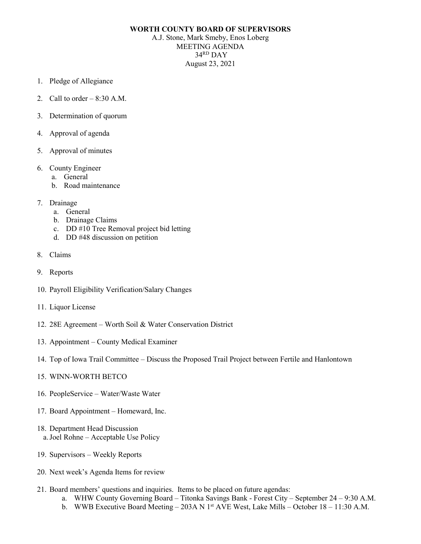## **WORTH COUNTY BOARD OF SUPERVISORS**

A.J. Stone, Mark Smeby, Enos Loberg MEETING AGENDA 34RD DAY August 23, 2021

- 1. Pledge of Allegiance
- 2. Call to order  $-8:30$  A.M.
- 3. Determination of quorum
- 4. Approval of agenda
- 5. Approval of minutes
- 6. County Engineer
	- a. General
	- b. Road maintenance
- 7. Drainage
	- a. General
	- b. Drainage Claims
	- c. DD #10 Tree Removal project bid letting
	- d. DD #48 discussion on petition
- 8. Claims
- 9. Reports
- 10. Payroll Eligibility Verification/Salary Changes
- 11. Liquor License
- 12. 28E Agreement Worth Soil & Water Conservation District
- 13. Appointment County Medical Examiner
- 14. Top of Iowa Trail Committee Discuss the Proposed Trail Project between Fertile and Hanlontown
- 15. WINN-WORTH BETCO
- 16. PeopleService Water/Waste Water
- 17. Board Appointment Homeward, Inc.
- 18. Department Head Discussion a.Joel Rohne – Acceptable Use Policy
- 19. Supervisors Weekly Reports
- 20. Next week's Agenda Items for review
- 21. Board members' questions and inquiries. Items to be placed on future agendas:
	- a. WHW County Governing Board Titonka Savings Bank Forest City September 24 9:30 A.M.
	- b. WWB Executive Board Meeting 203A N  $1<sup>st</sup>$  AVE West, Lake Mills October 18 11:30 A.M.